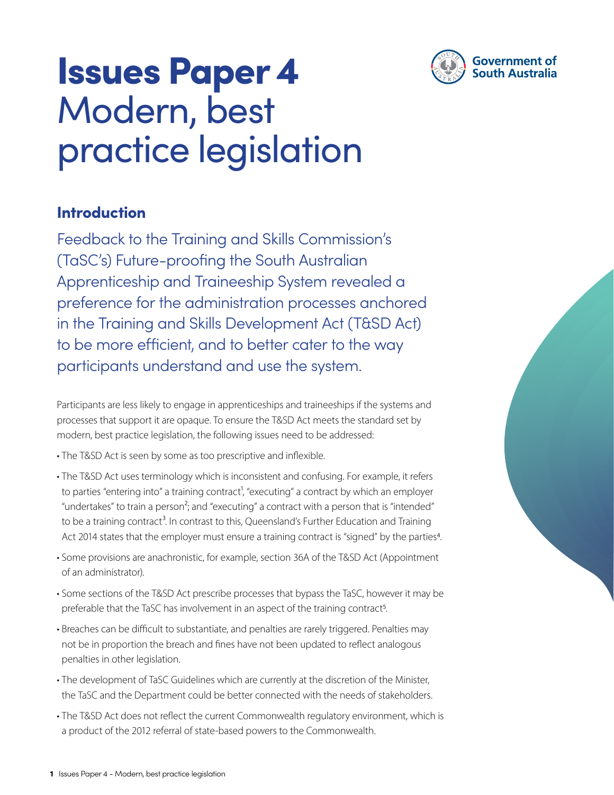

# Issues Paper 4 Modern, best practice legislation

### Introduction

Feedback to the Training and Skills Commission's (TaSC's) Future-proofing the South Australian Apprenticeship and Traineeship System revealed a preference for the administration processes anchored in the Training and Skills Development Act (T&SD Act) to be more efficient, and to better cater to the way participants understand and use the system.

Participants are less likely to engage in apprenticeships and traineeships if the systems and processes that support it are opaque. To ensure the T&SD Act meets the standard set by modern, best practice legislation, the following issues need to be addressed:

• The T&SD Act is seen by some as too prescriptive and inflexible.

- The T&SD Act uses terminology which is inconsistent and confusing. For example, it refers to parties "entering into" a training contract<sup>1</sup>, "executing" a contract by which an employer "undertakes" to train a person<sup>2</sup>; and "executing" a contract with a person that is "intended" to be a training contract<sup>3</sup>. In contrast to this, Queensland's Further Education and Training Act 2014 states that the employer must ensure a training contract is "signed" by the parties<sup>4</sup>.
- Some provisions are anachronistic, for example, section 36A of the T&SD Act (Appointment of an administrator).
- Some sections of the T&SD Act prescribe processes that bypass the TaSC, however it may be preferable that the TaSC has involvement in an aspect of the training contract<sup>5</sup>.
- Breaches can be difficult to substantiate, and penalties are rarely triggered. Penalties may not be in proportion the breach and fines have not been updated to reflect analogous penalties in other legislation.
- The development of TaSC Guidelines which are currently at the discretion of the Minister, the TaSC and the Department could be better connected with the needs of stakeholders.
- The T&SD Act does not reflect the current Commonwealth regulatory environment, which is a product of the 2012 referral of state-based powers to the Commonwealth.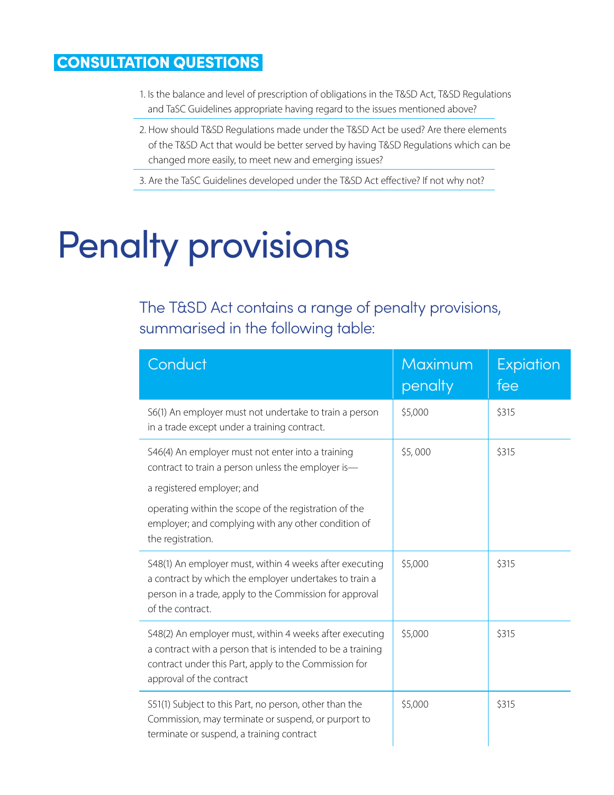## CONSULTATION QUESTIONS

- 1. Is the balance and level of prescription of obligations in the T&SD Act, T&SD Regulations and TaSC Guidelines appropriate having regard to the issues mentioned above?
- 2. How should T&SD Regulations made under the T&SD Act be used? Are there elements of the T&SD Act that would be better served by having T&SD Regulations which can be changed more easily, to meet new and emerging issues?
- 3. Are the TaSC Guidelines developed under the T&SD Act effective? If not why not?

# Penalty provisions

# The T&SD Act contains a range of penalty provisions, summarised in the following table:

| Conduct                                                                                                                                                                                                    | Maximum<br>penalty | <b>Expiation</b><br>fee |
|------------------------------------------------------------------------------------------------------------------------------------------------------------------------------------------------------------|--------------------|-------------------------|
| S6(1) An employer must not undertake to train a person<br>in a trade except under a training contract.                                                                                                     | \$5,000            | \$315                   |
| S46(4) An employer must not enter into a training<br>contract to train a person unless the employer is-<br>a registered employer; and                                                                      | \$5,000            | \$315                   |
| operating within the scope of the registration of the<br>employer; and complying with any other condition of<br>the registration.                                                                          |                    |                         |
| S48(1) An employer must, within 4 weeks after executing<br>a contract by which the employer undertakes to train a<br>person in a trade, apply to the Commission for approval<br>of the contract.           | \$5,000            | \$315                   |
| S48(2) An employer must, within 4 weeks after executing<br>a contract with a person that is intended to be a training<br>contract under this Part, apply to the Commission for<br>approval of the contract | \$5,000            | \$315                   |
| S51(1) Subject to this Part, no person, other than the<br>Commission, may terminate or suspend, or purport to<br>terminate or suspend, a training contract                                                 | \$5,000            | \$315                   |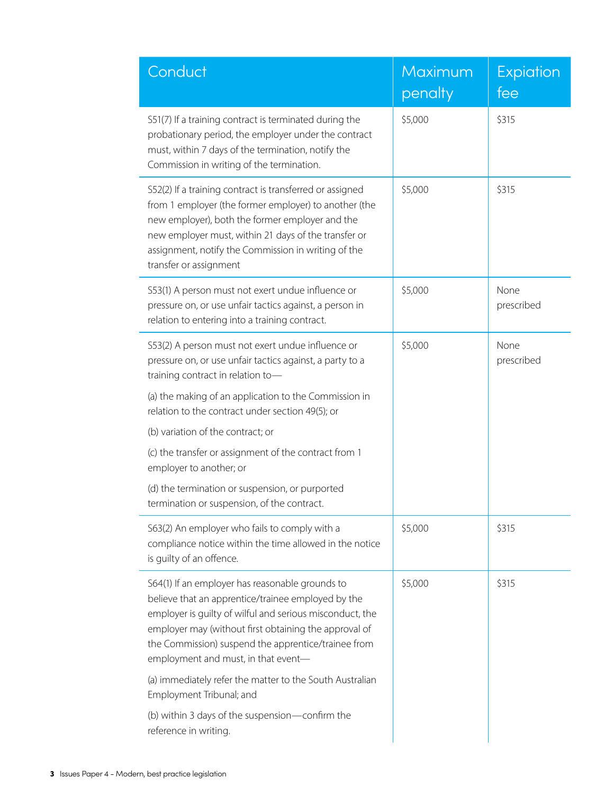| Conduct                                                                                                                                                                                                                                                                                                                  | Maximum<br>penalty | <b>Expiation</b><br>fee |
|--------------------------------------------------------------------------------------------------------------------------------------------------------------------------------------------------------------------------------------------------------------------------------------------------------------------------|--------------------|-------------------------|
| S51(7) If a training contract is terminated during the<br>probationary period, the employer under the contract<br>must, within 7 days of the termination, notify the<br>Commission in writing of the termination.                                                                                                        | \$5,000            | \$315                   |
| S52(2) If a training contract is transferred or assigned<br>from 1 employer (the former employer) to another (the<br>new employer), both the former employer and the<br>new employer must, within 21 days of the transfer or<br>assignment, notify the Commission in writing of the<br>transfer or assignment            | \$5,000            | \$315                   |
| S53(1) A person must not exert undue influence or<br>pressure on, or use unfair tactics against, a person in<br>relation to entering into a training contract.                                                                                                                                                           | \$5,000            | None<br>prescribed      |
| S53(2) A person must not exert undue influence or<br>pressure on, or use unfair tactics against, a party to a<br>training contract in relation to-                                                                                                                                                                       | \$5,000            | None<br>prescribed      |
| (a) the making of an application to the Commission in<br>relation to the contract under section 49(5); or                                                                                                                                                                                                                |                    |                         |
| (b) variation of the contract; or                                                                                                                                                                                                                                                                                        |                    |                         |
| (c) the transfer or assignment of the contract from 1<br>employer to another; or                                                                                                                                                                                                                                         |                    |                         |
| (d) the termination or suspension, or purported<br>termination or suspension, of the contract.                                                                                                                                                                                                                           |                    |                         |
| S63(2) An employer who fails to comply with a<br>compliance notice within the time allowed in the notice<br>is guilty of an offence.                                                                                                                                                                                     | \$5,000            | \$315                   |
| S64(1) If an employer has reasonable grounds to<br>believe that an apprentice/trainee employed by the<br>employer is quilty of wilful and serious misconduct, the<br>employer may (without first obtaining the approval of<br>the Commission) suspend the apprentice/trainee from<br>employment and must, in that event- | \$5,000            | \$315                   |
| (a) immediately refer the matter to the South Australian<br>Employment Tribunal; and                                                                                                                                                                                                                                     |                    |                         |
| (b) within 3 days of the suspension-confirm the<br>reference in writing.                                                                                                                                                                                                                                                 |                    |                         |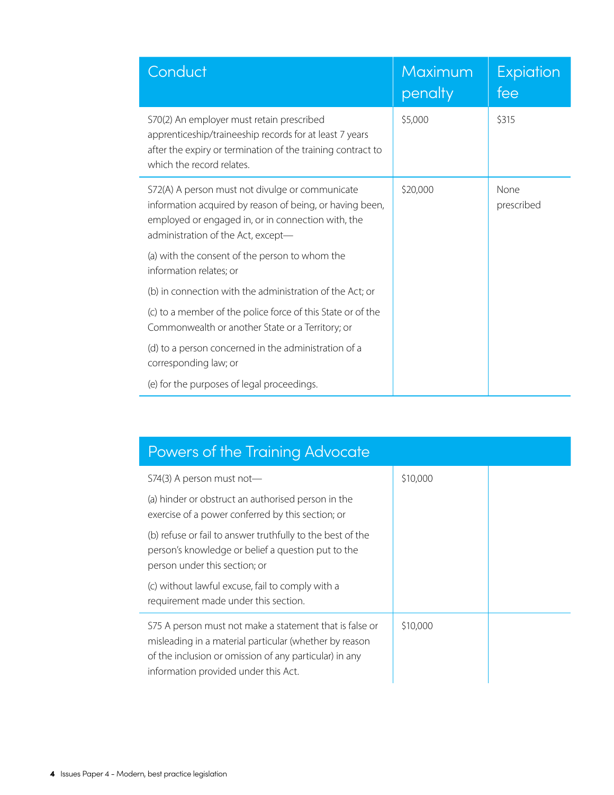| Conduct                                                                                                                                                                                                 | Maximum<br>penalty | Expiation<br>fee   |
|---------------------------------------------------------------------------------------------------------------------------------------------------------------------------------------------------------|--------------------|--------------------|
| S70(2) An employer must retain prescribed<br>apprenticeship/traineeship records for at least 7 years<br>after the expiry or termination of the training contract to<br>which the record relates.        | \$5,000            | \$315              |
| S72(A) A person must not divulge or communicate<br>information acquired by reason of being, or having been,<br>employed or engaged in, or in connection with, the<br>administration of the Act, except- | \$20,000           | None<br>prescribed |
| (a) with the consent of the person to whom the<br>information relates; or                                                                                                                               |                    |                    |
| (b) in connection with the administration of the Act; or                                                                                                                                                |                    |                    |
| (c) to a member of the police force of this State or of the<br>Commonwealth or another State or a Territory; or                                                                                         |                    |                    |
| (d) to a person concerned in the administration of a<br>corresponding law; or                                                                                                                           |                    |                    |
| (e) for the purposes of legal proceedings.                                                                                                                                                              |                    |                    |

| Powers of the Training Advocate                                                                                                                                                                                     |          |  |
|---------------------------------------------------------------------------------------------------------------------------------------------------------------------------------------------------------------------|----------|--|
| S74(3) A person must not-                                                                                                                                                                                           | \$10,000 |  |
| (a) hinder or obstruct an authorised person in the<br>exercise of a power conferred by this section; or                                                                                                             |          |  |
| (b) refuse or fail to answer truthfully to the best of the<br>person's knowledge or belief a question put to the<br>person under this section; or                                                                   |          |  |
| (c) without lawful excuse, fail to comply with a<br>requirement made under this section.                                                                                                                            |          |  |
| S75 A person must not make a statement that is false or<br>misleading in a material particular (whether by reason<br>of the inclusion or omission of any particular) in any<br>information provided under this Act. | \$10,000 |  |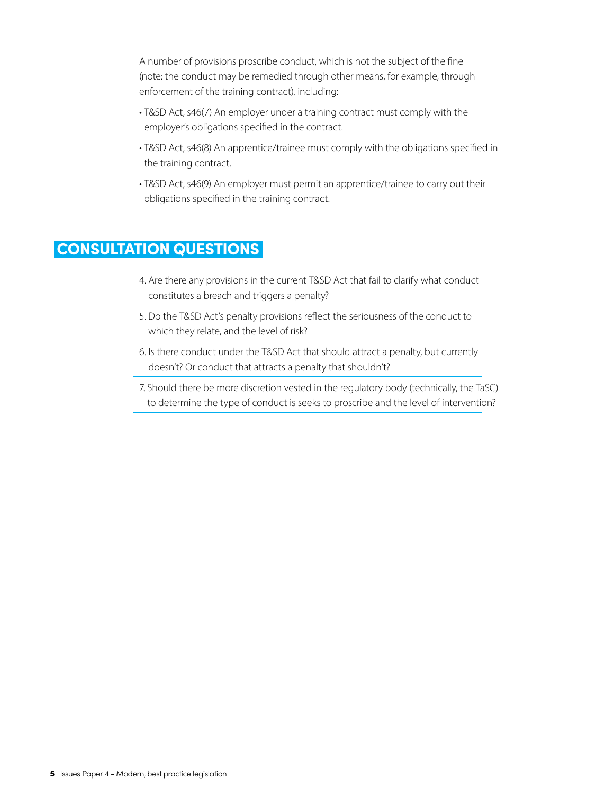A number of provisions proscribe conduct, which is not the subject of the fine (note: the conduct may be remedied through other means, for example, through enforcement of the training contract), including:

- T&SD Act, s46(7) An employer under a training contract must comply with the employer's obligations specified in the contract.
- T&SD Act, s46(8) An apprentice/trainee must comply with the obligations specified in the training contract.
- T&SD Act, s46(9) An employer must permit an apprentice/trainee to carry out their obligations specified in the training contract.

### CONSULTATION QUESTIONS

- 4. Are there any provisions in the current T&SD Act that fail to clarify what conduct constitutes a breach and triggers a penalty?
- 5. Do the T&SD Act's penalty provisions reflect the seriousness of the conduct to which they relate, and the level of risk?
- 6. Is there conduct under the T&SD Act that should attract a penalty, but currently doesn't? Or conduct that attracts a penalty that shouldn't?
- 7. Should there be more discretion vested in the regulatory body (technically, the TaSC) to determine the type of conduct is seeks to proscribe and the level of intervention?